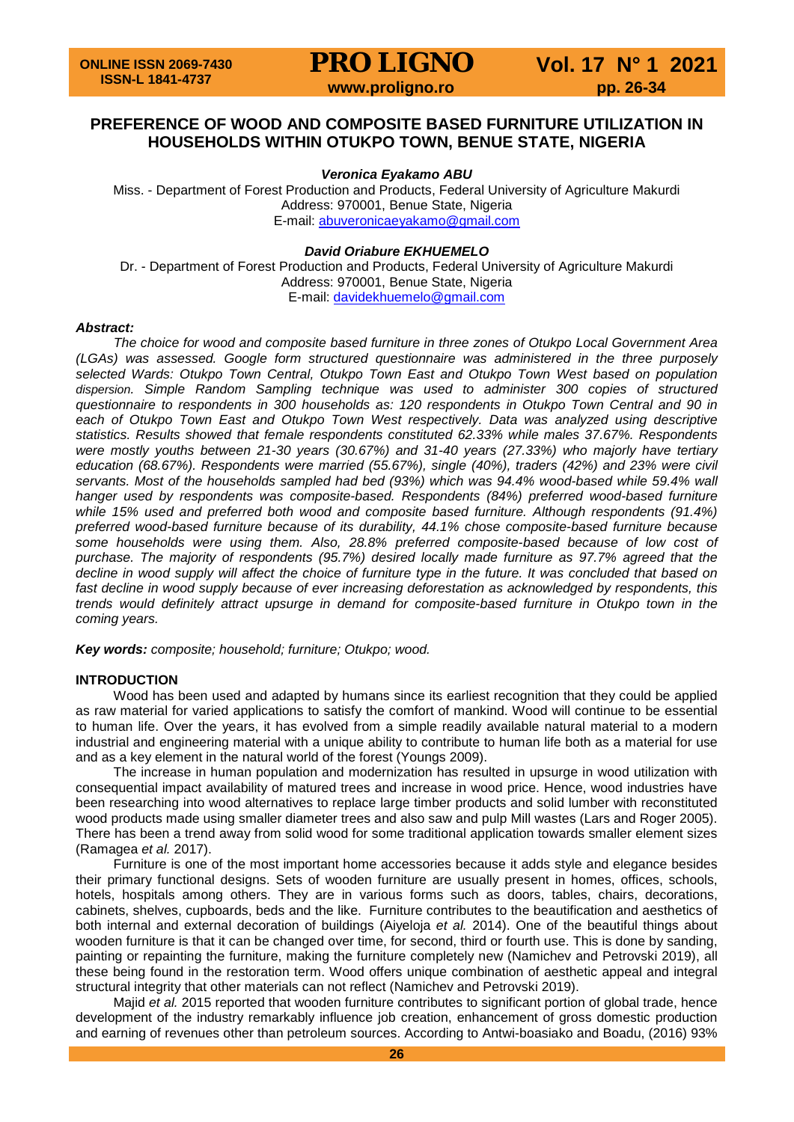# **PREFERENCE OF WOOD AND COMPOSITE BASED FURNITURE UTILIZATION IN HOUSEHOLDS WITHIN OTUKPO TOWN, BENUE STATE, NIGERIA**

*Veronica Eyakamo ABU*

Miss. - Department of Forest Production and Products, Federal University of Agriculture Makurdi Address: 970001, Benue State, Nigeria E-mail: [abuveronicaeyakamo@gmail.com](mailto:abuveronicaeyakamo@gmail.com)

*David Oriabure EKHUEMELO*

Dr. - Department of Forest Production and Products, Federal University of Agriculture Makurdi Address: 970001, Benue State, Nigeria E-mail: [davidekhuemelo@gmail.com](mailto:davidekhuemelo@gmail.com)

### *Abstract:*

*The choice for wood and composite based furniture in three zones of Otukpo Local Government Area (LGAs) was assessed. Google form structured questionnaire was administered in the three purposely selected Wards: Otukpo Town Central, Otukpo Town East and Otukpo Town West based on population dispersion. Simple Random Sampling technique was used to administer 300 copies of structured questionnaire to respondents in 300 households as: 120 respondents in Otukpo Town Central and 90 in*  each of Otukpo Town East and Otukpo Town West respectively. Data was analyzed using descriptive *statistics. Results showed that female respondents constituted 62.33% while males 37.67%. Respondents were mostly youths between 21-30 years (30.67%) and 31-40 years (27.33%) who majorly have tertiary education (68.67%). Respondents were married (55.67%), single (40%), traders (42%) and 23% were civil servants. Most of the households sampled had bed (93%) which was 94.4% wood-based while 59.4% wall hanger used by respondents was composite-based. Respondents (84%) preferred wood-based furniture while 15% used and preferred both wood and composite based furniture. Although respondents (91.4%) preferred wood-based furniture because of its durability, 44.1% chose composite-based furniture because*  some households were using them. Also, 28.8% preferred composite-based because of low cost of *purchase. The majority of respondents (95.7%) desired locally made furniture as 97.7% agreed that the decline in wood supply will affect the choice of furniture type in the future. It was concluded that based on fast decline in wood supply because of ever increasing deforestation as acknowledged by respondents, this trends would definitely attract upsurge in demand for composite-based furniture in Otukpo town in the coming years.*

*Key words: composite; household; furniture; Otukpo; wood.*

## **INTRODUCTION**

Wood has been used and adapted by humans since its earliest recognition that they could be applied as raw material for varied applications to satisfy the comfort of mankind. Wood will continue to be essential to human life. Over the years, it has evolved from a simple readily available natural material to a modern industrial and engineering material with a unique ability to contribute to human life both as a material for use and as a key element in the natural world of the forest (Youngs 2009).

The increase in human population and modernization has resulted in upsurge in wood utilization with consequential impact availability of matured trees and increase in wood price. Hence, wood industries have been researching into wood alternatives to replace large timber products and solid lumber with reconstituted wood products made using smaller diameter trees and also saw and pulp Mill wastes (Lars and Roger 2005). There has been a trend away from solid wood for some traditional application towards smaller element sizes (Ramagea *et al.* 2017).

Furniture is one of the most important home accessories because it adds style and elegance besides their primary functional designs. Sets of wooden furniture are usually present in homes, offices, schools, hotels, hospitals among others. They are in various forms such as doors, tables, chairs, decorations, cabinets, shelves, cupboards, beds and the like. Furniture contributes to the beautification and aesthetics of both internal and external decoration of buildings (Aiyeloja *et al.* 2014). One of the beautiful things about wooden furniture is that it can be changed over time, for second, third or fourth use. This is done by sanding, painting or repainting the furniture, making the furniture completely new (Namichev and Petrovski 2019), all these being found in the restoration term. Wood offers unique combination of aesthetic appeal and integral structural integrity that other materials can not reflect (Namichev and Petrovski 2019).

Majid *et al.* 2015 reported that wooden furniture contributes to significant portion of global trade, hence development of the industry remarkably influence job creation, enhancement of gross domestic production and earning of revenues other than petroleum sources. According to Antwi-boasiako and Boadu, (2016) 93%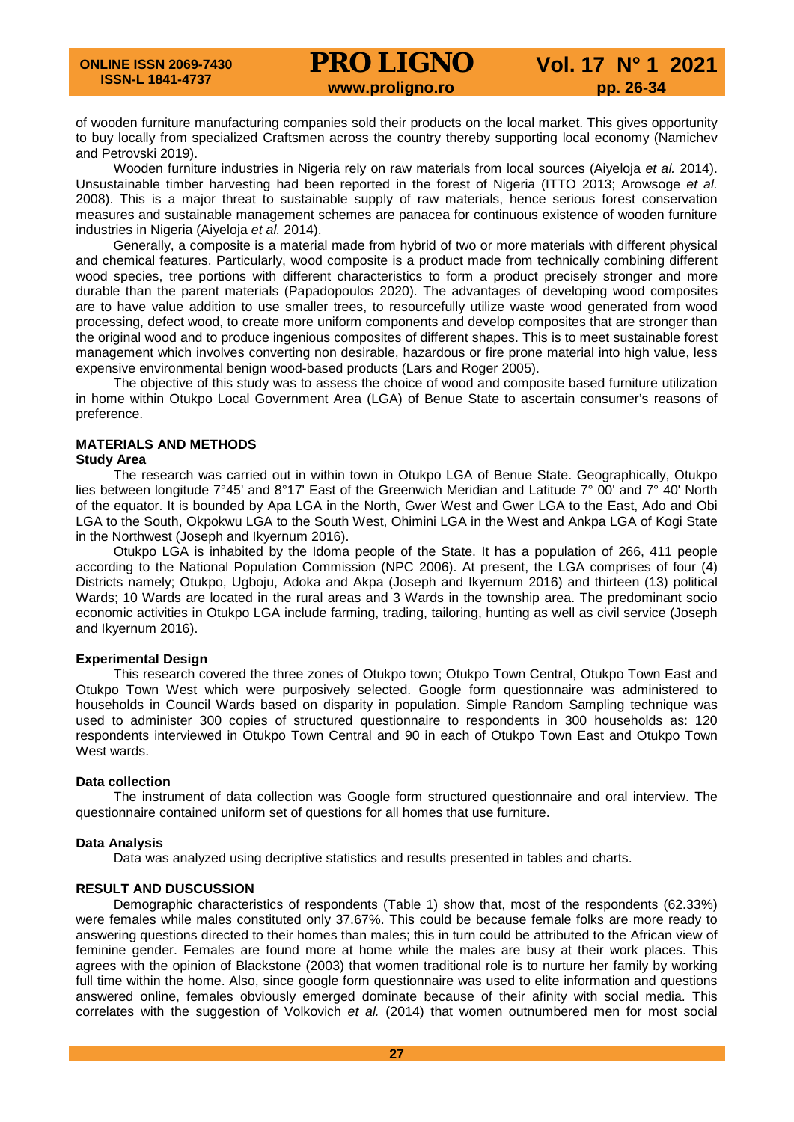of wooden furniture manufacturing companies sold their products on the local market. This gives opportunity to buy locally from specialized Craftsmen across the country thereby supporting local economy (Namichev and Petrovski 2019).

Wooden furniture industries in Nigeria rely on raw materials from local sources (Aiyeloja *et al.* 2014). Unsustainable timber harvesting had been reported in the forest of Nigeria (ITTO 2013; Arowsoge *et al.* 2008). This is a major threat to sustainable supply of raw materials, hence serious forest conservation measures and sustainable management schemes are panacea for continuous existence of wooden furniture industries in Nigeria (Aiyeloja *et al.* 2014).

Generally, a composite is a material made from hybrid of two or more materials with different physical and chemical features. Particularly, wood composite is a product made from technically combining different wood species, tree portions with different characteristics to form a product precisely stronger and more durable than the parent materials (Papadopoulos 2020). The advantages of developing wood composites are to have value addition to use smaller trees, to resourcefully utilize waste wood generated from wood processing, defect wood, to create more uniform components and develop composites that are stronger than the original wood and to produce ingenious composites of different shapes. This is to meet sustainable forest management which involves converting non desirable, hazardous or fire prone material into high value, less expensive environmental benign wood-based products (Lars and Roger 2005).

The objective of this study was to assess the choice of wood and composite based furniture utilization in home within Otukpo Local Government Area (LGA) of Benue State to ascertain consumer's reasons of preference.

# **MATERIALS AND METHODS**

## **Study Area**

The research was carried out in within town in Otukpo LGA of Benue State. Geographically, Otukpo lies between longitude 7°45' and 8°17' East of the Greenwich Meridian and Latitude 7° 00' and 7° 40' North of the equator. It is bounded by Apa LGA in the North, Gwer West and Gwer LGA to the East, Ado and Obi LGA to the South, Okpokwu LGA to the South West, Ohimini LGA in the West and Ankpa LGA of Kogi State in the Northwest (Joseph and Ikyernum 2016).

Otukpo LGA is inhabited by the Idoma people of the State. It has a population of 266, 411 people according to the National Population Commission (NPC 2006). At present, the LGA comprises of four (4) Districts namely; Otukpo, Ugboju, Adoka and Akpa (Joseph and Ikyernum 2016) and thirteen (13) political Wards; 10 Wards are located in the rural areas and 3 Wards in the township area. The predominant socio economic activities in Otukpo LGA include farming, trading, tailoring, hunting as well as civil service (Joseph and Ikyernum 2016).

## **Experimental Design**

This research covered the three zones of Otukpo town; Otukpo Town Central, Otukpo Town East and Otukpo Town West which were purposively selected. Google form questionnaire was administered to households in Council Wards based on disparity in population. Simple Random Sampling technique was used to administer 300 copies of structured questionnaire to respondents in 300 households as: 120 respondents interviewed in Otukpo Town Central and 90 in each of Otukpo Town East and Otukpo Town West wards.

## **Data collection**

The instrument of data collection was Google form structured questionnaire and oral interview. The questionnaire contained uniform set of questions for all homes that use furniture.

# **Data Analysis**

Data was analyzed using decriptive statistics and results presented in tables and charts.

## **RESULT AND DUSCUSSION**

Demographic characteristics of respondents (Table 1) show that, most of the respondents (62.33%) were females while males constituted only 37.67%. This could be because female folks are more ready to answering questions directed to their homes than males; this in turn could be attributed to the African view of feminine gender. Females are found more at home while the males are busy at their work places. This agrees with the opinion of Blackstone (2003) that women traditional role is to nurture her family by working full time within the home. Also, since google form questionnaire was used to elite information and questions answered online, females obviously emerged dominate because of their afinity with social media. This correlates with the suggestion of Volkovich *et al.* (2014) that women outnumbered men for most social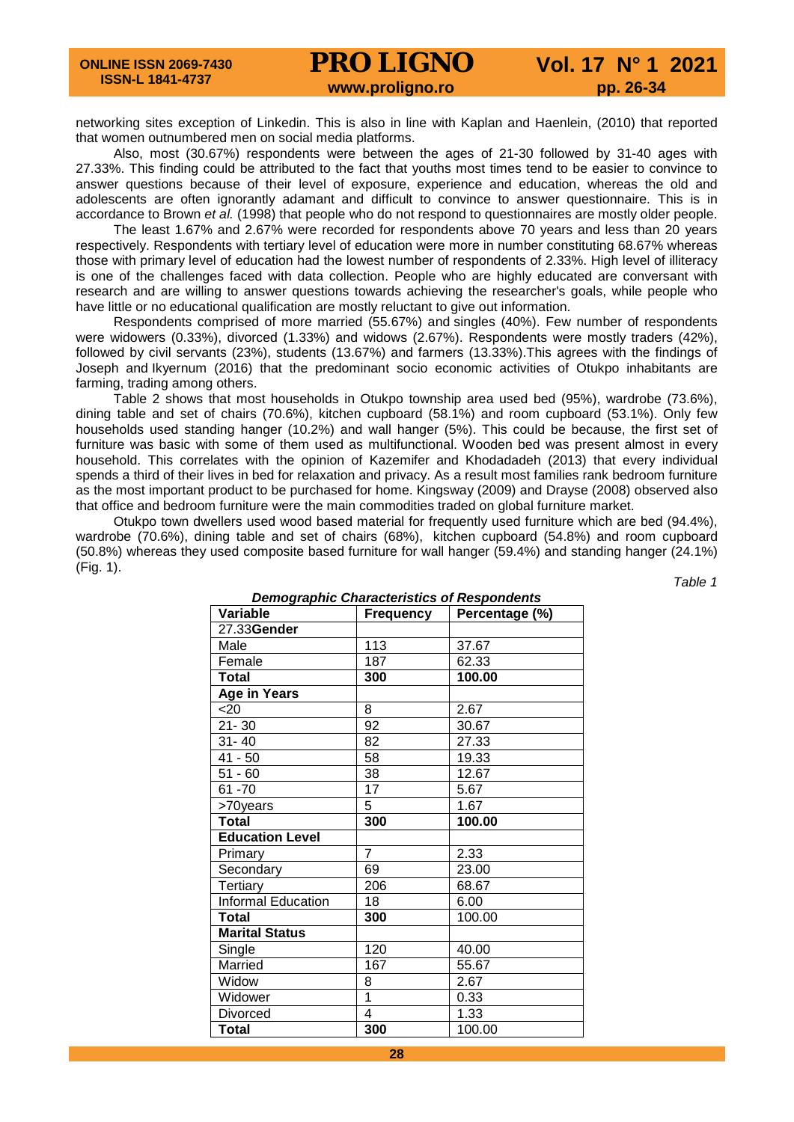networking sites exception of Linkedin. This is also in line with Kaplan and Haenlein, (2010) that reported that women outnumbered men on social media platforms.

Also, most (30.67%) respondents were between the ages of 21-30 followed by 31-40 ages with 27.33%. This finding could be attributed to the fact that youths most times tend to be easier to convince to answer questions because of their level of exposure, experience and education, whereas the old and adolescents are often ignorantly adamant and difficult to convince to answer questionnaire. This is in accordance to Brown *et al.* (1998) that people who do not respond to questionnaires are mostly older people.

The least 1.67% and 2.67% were recorded for respondents above 70 years and less than 20 years respectively. Respondents with tertiary level of education were more in number constituting 68.67% whereas those with primary level of education had the lowest number of respondents of 2.33%. High level of illiteracy is one of the challenges faced with data collection. People who are highly educated are conversant with research and are willing to answer questions towards achieving the researcher's goals, while people who have little or no educational qualification are mostly reluctant to give out information.

Respondents comprised of more married (55.67%) and singles (40%). Few number of respondents were widowers (0.33%), divorced (1.33%) and widows (2.67%). Respondents were mostly traders (42%), followed by civil servants (23%), students (13.67%) and farmers (13.33%).This agrees with the findings of Joseph and Ikyernum (2016) that the predominant socio economic activities of Otukpo inhabitants are farming, trading among others.

Table 2 shows that most households in Otukpo township area used bed (95%), wardrobe (73.6%), dining table and set of chairs (70.6%), kitchen cupboard (58.1%) and room cupboard (53.1%). Only few households used standing hanger (10.2%) and wall hanger (5%). This could be because, the first set of furniture was basic with some of them used as multifunctional. Wooden bed was present almost in every household. This correlates with the opinion of Kazemifer and Khodadadeh (2013) that every individual spends a third of their lives in bed for relaxation and privacy. As a result most families rank bedroom furniture as the most important product to be purchased for home. Kingsway (2009) and Drayse (2008) observed also that office and bedroom furniture were the main commodities traded on global furniture market.

Otukpo town dwellers used wood based material for frequently used furniture which are bed (94.4%), wardrobe (70.6%), dining table and set of chairs (68%), kitchen cupboard (54.8%) and room cupboard (50.8%) whereas they used composite based furniture for wall hanger (59.4%) and standing hanger (24.1%) (Fig. 1).

*Table 1*

| Demographic Onaracteristics or respondents<br>Variable | <b>Frequency</b> | Percentage (%) |  |
|--------------------------------------------------------|------------------|----------------|--|
| 27.33Gender                                            |                  |                |  |
| Male                                                   | 113              | 37.67          |  |
| Female                                                 | 187              | 62.33          |  |
| <b>Total</b>                                           | 300              | 100.00         |  |
| <b>Age in Years</b>                                    |                  |                |  |
| $20$                                                   | 8                | 2.67           |  |
| $21 - 30$                                              | 92               | 30.67          |  |
| $31 - 40$                                              | 82               | 27.33          |  |
| $41 - 50$                                              | 58               | 19.33          |  |
| $51 - 60$                                              | 38               | 12.67          |  |
| 61 - 70                                                | 17               | 5.67           |  |
| >70years                                               | 5                | 1.67           |  |
| <b>Total</b>                                           | 300              | 100.00         |  |
| <b>Education Level</b>                                 |                  |                |  |
| Primary                                                | $\overline{7}$   | 2.33           |  |
| Secondary                                              | 69               | 23.00          |  |
| Tertiary                                               | 206              | 68.67          |  |
| Informal Education                                     | 18               | 6.00           |  |
| Total                                                  | 300              | 100.00         |  |
| <b>Marital Status</b>                                  |                  |                |  |
| Single                                                 | 120              | 40.00          |  |
| Married                                                | 167              | 55.67          |  |
| Widow                                                  | 8                | 2.67           |  |
| Widower                                                | $\overline{1}$   | 0.33           |  |
| Divorced                                               | 4                | 1.33           |  |
| <b>Total</b>                                           | $\overline{3}00$ | 100.00         |  |

*Demographic Characteristics of Respondents*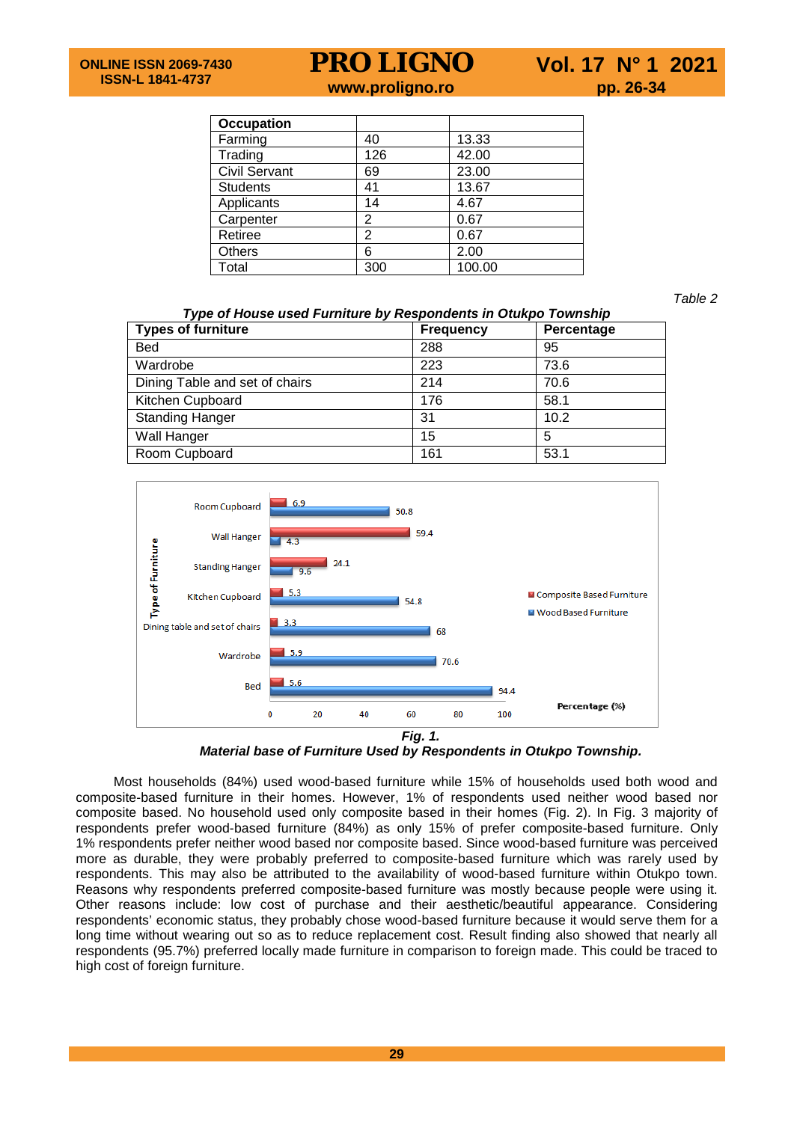| <b>Occupation</b>    |     |        |
|----------------------|-----|--------|
| Farming              | 40  | 13.33  |
| Trading              | 126 | 42.00  |
| <b>Civil Servant</b> | 69  | 23.00  |
| <b>Students</b>      | 41  | 13.67  |
| Applicants           | 14  | 4.67   |
| Carpenter            | 2   | 0.67   |
| Retiree              | 2   | 0.67   |
| <b>Others</b>        | 6   | 2.00   |
| Total                | 300 | 100.00 |

 *Table 2*

| Type of House used Furniture by Respondents in Otukpo Township |             |              |
|----------------------------------------------------------------|-------------|--------------|
| s of furniture                                                 | . Frequency | l Percentage |

| <b>Types of furniture</b>      | <b>Frequency</b> | Percentage |
|--------------------------------|------------------|------------|
| <b>Bed</b>                     | 288              | 95         |
| Wardrobe                       | 223              | 73.6       |
| Dining Table and set of chairs | 214              | 70.6       |
| Kitchen Cupboard               | 176              | 58.1       |
| <b>Standing Hanger</b>         | 31               | 10.2       |
| Wall Hanger                    | 15               | 5          |
| Room Cupboard                  | 161              | 53.1       |



*Material base of Furniture Used by Respondents in Otukpo Township.*

Most households (84%) used wood-based furniture while 15% of households used both wood and composite-based furniture in their homes. However, 1% of respondents used neither wood based nor composite based. No household used only composite based in their homes (Fig. 2). In Fig. 3 majority of respondents prefer wood-based furniture (84%) as only 15% of prefer composite-based furniture. Only 1% respondents prefer neither wood based nor composite based. Since wood-based furniture was perceived more as durable, they were probably preferred to composite-based furniture which was rarely used by respondents. This may also be attributed to the availability of wood-based furniture within Otukpo town. Reasons why respondents preferred composite-based furniture was mostly because people were using it. Other reasons include: low cost of purchase and their aesthetic/beautiful appearance. Considering respondents' economic status, they probably chose wood-based furniture because it would serve them for a long time without wearing out so as to reduce replacement cost. Result finding also showed that nearly all respondents (95.7%) preferred locally made furniture in comparison to foreign made. This could be traced to high cost of foreign furniture.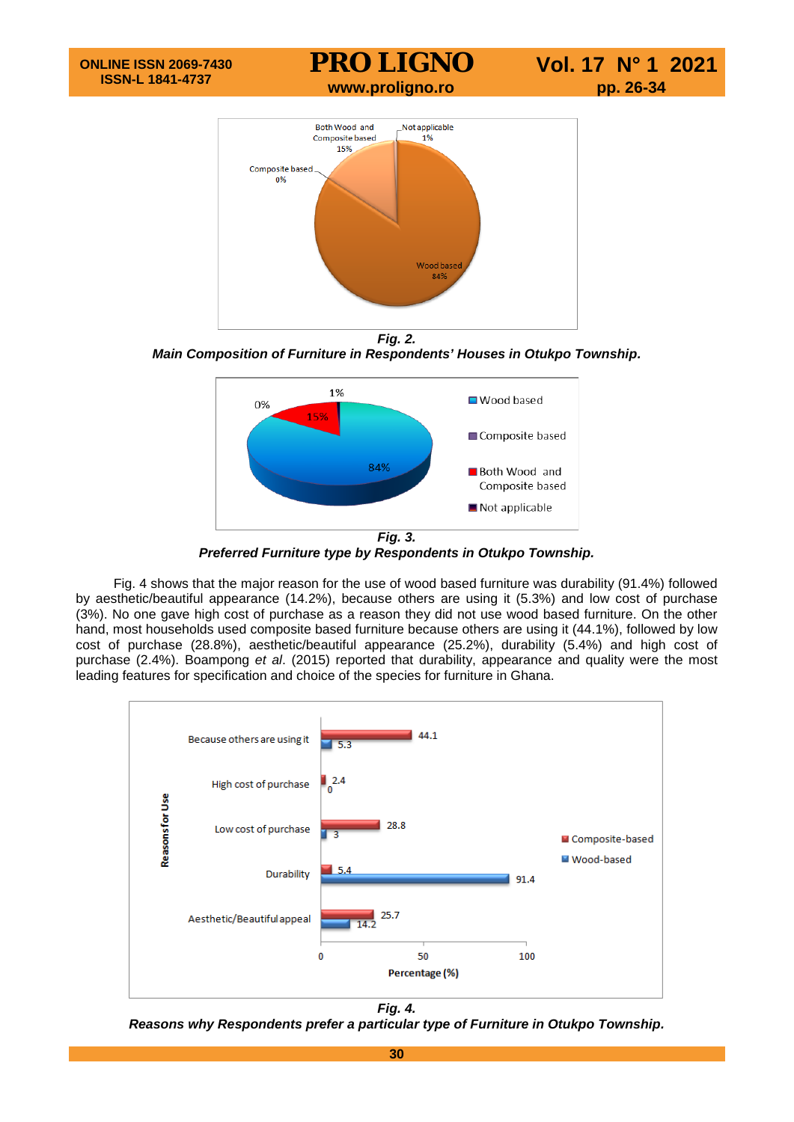

*Main Composition of Furniture in Respondents' Houses in Otukpo Township.*



*Preferred Furniture type by Respondents in Otukpo Township.*

Fig. 4 shows that the major reason for the use of wood based furniture was durability (91.4%) followed by aesthetic/beautiful appearance (14.2%), because others are using it (5.3%) and low cost of purchase (3%). No one gave high cost of purchase as a reason they did not use wood based furniture. On the other hand, most households used composite based furniture because others are using it (44.1%), followed by low cost of purchase (28.8%), aesthetic/beautiful appearance (25.2%), durability (5.4%) and high cost of purchase (2.4%). Boampong *et al*. (2015) reported that durability, appearance and quality were the most leading features for specification and choice of the species for furniture in Ghana.



*Fig. 4.*

*Reasons why Respondents prefer a particular type of Furniture in Otukpo Township.*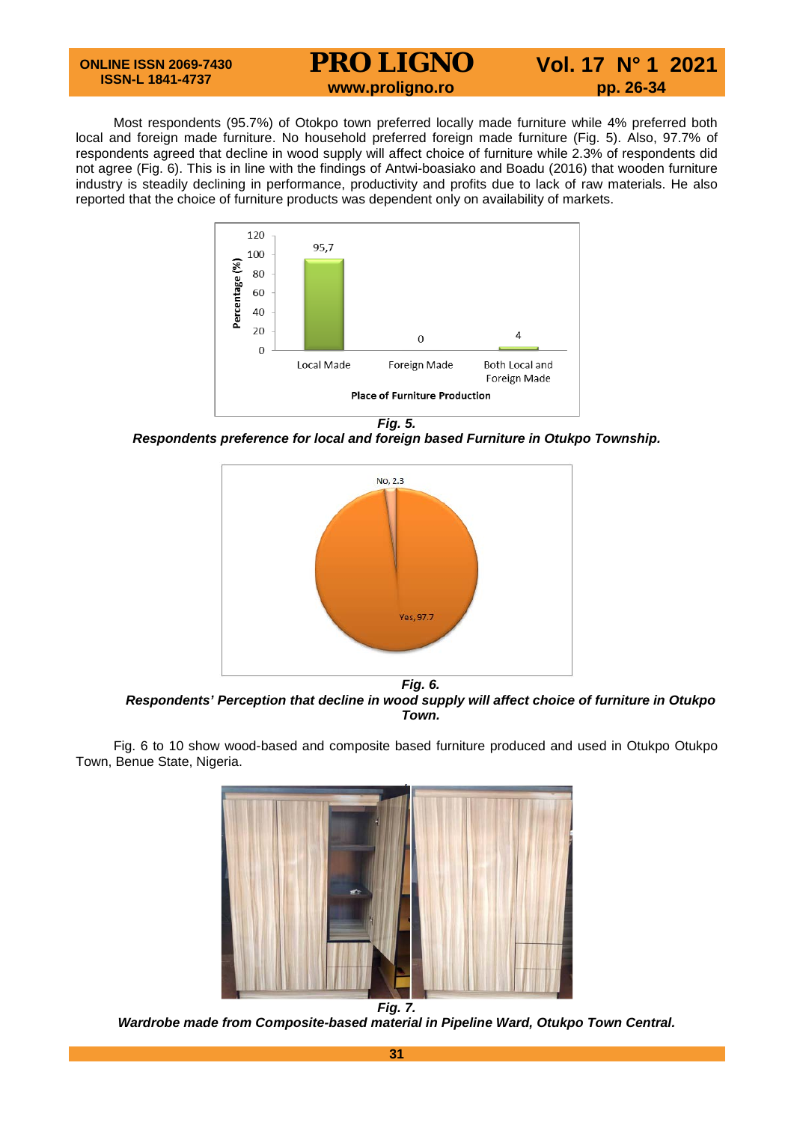## **ONLINE ISSN 2069-7430 ISSN-L 1841-4737**

# **PRO LIGNO** Vol. 17 N° 1 2021<br>www.proligno.ro pp. 26-34

Most respondents (95.7%) of Otokpo town preferred locally made furniture while 4% preferred both local and foreign made furniture. No household preferred foreign made furniture (Fig. 5). Also, 97.7% of respondents agreed that decline in wood supply will affect choice of furniture while 2.3% of respondents did not agree (Fig. 6). This is in line with the findings of Antwi-boasiako and Boadu (2016) that wooden furniture industry is steadily declining in performance, productivity and profits due to lack of raw materials. He also reported that the choice of furniture products was dependent only on availability of markets.



*Fig. 5.*

*Respondents preference for local and foreign based Furniture in Otukpo Township.*



*Respondents' Perception that decline in wood supply will affect choice of furniture in Otukpo Town.*

Fig. 6 to 10 show wood-based and composite based furniture produced and used in Otukpo Otukpo Town, Benue State, Nigeria.



*Wardrobe made from Composite-based material in Pipeline Ward, Otukpo Town Central.*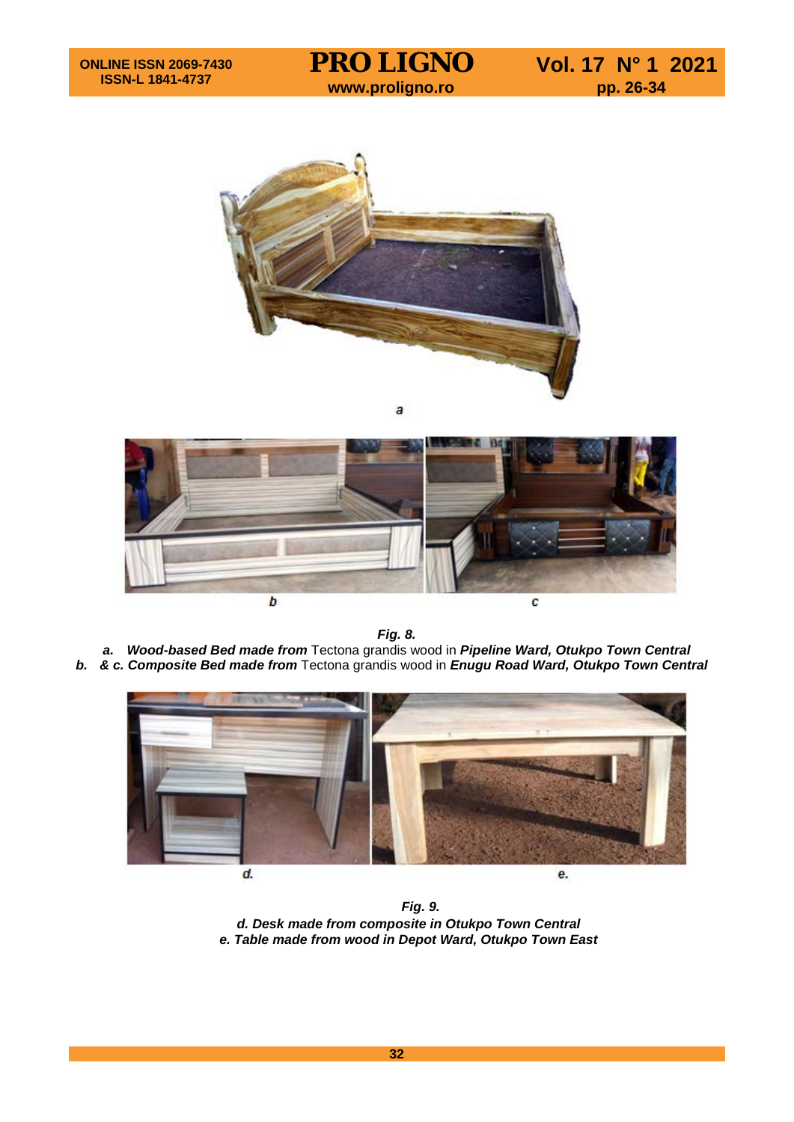

a



*Fig. 8.*

*a. Wood-based Bed made from* Tectona grandis wood in *Pipeline Ward, Otukpo Town Central b. & c. Composite Bed made from* Tectona grandis wood in *Enugu Road Ward, Otukpo Town Central*



*Fig. 9. d. Desk made from composite in Otukpo Town Central e. Table made from wood in Depot Ward, Otukpo Town East*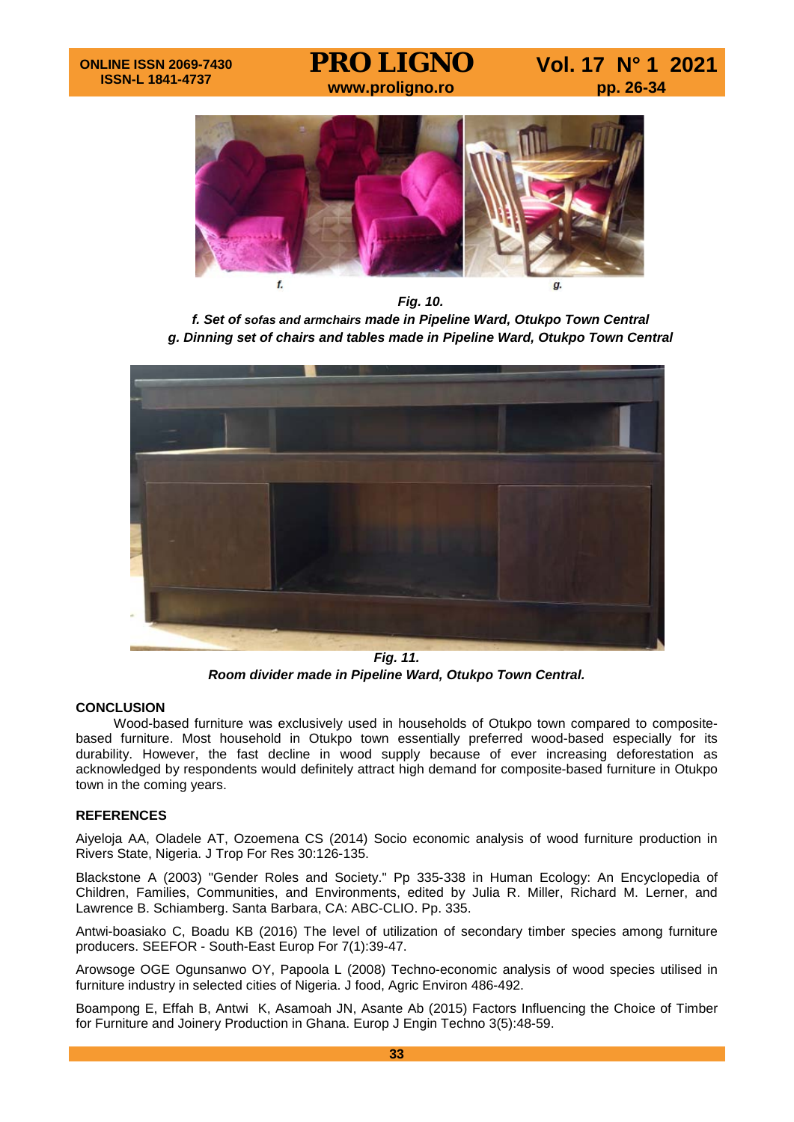

*Fig. 10.*

*f. Set of sofas and armchairs made in Pipeline Ward, Otukpo Town Central g. Dinning set of chairs and tables made in Pipeline Ward, Otukpo Town Central*



*Fig. 11. Room divider made in Pipeline Ward, Otukpo Town Central.*

# **CONCLUSION**

Wood-based furniture was exclusively used in households of Otukpo town compared to compositebased furniture. Most household in Otukpo town essentially preferred wood-based especially for its durability. However, the fast decline in wood supply because of ever increasing deforestation as acknowledged by respondents would definitely attract high demand for composite-based furniture in Otukpo town in the coming years.

## **REFERENCES**

Aiyeloja AA, Oladele AT, Ozoemena CS (2014) Socio economic analysis of wood furniture production in Rivers State, Nigeria. J Trop For Res 30:126-135.

Blackstone A (2003) "Gender Roles and Society." Pp 335-338 in Human Ecology: An Encyclopedia of Children, Families, Communities, and Environments, edited by Julia R. Miller, Richard M. Lerner, and Lawrence B. Schiamberg. Santa Barbara, CA: ABC-CLIO. Pp. 335.

Antwi-boasiako C, Boadu KB (2016) The level of utilization of secondary timber species among furniture producers. SEEFOR - South-East Europ For 7(1):39-47.

Arowsoge OGE Ogunsanwo OY, Papoola L (2008) Techno-economic analysis of wood species utilised in furniture industry in selected cities of Nigeria. J food, Agric Environ 486-492.

Boampong E, Effah B, Antwi K, Asamoah JN, Asante Ab (2015) Factors Influencing the Choice of Timber for Furniture and Joinery Production in Ghana. Europ J Engin Techno 3(5):48-59.